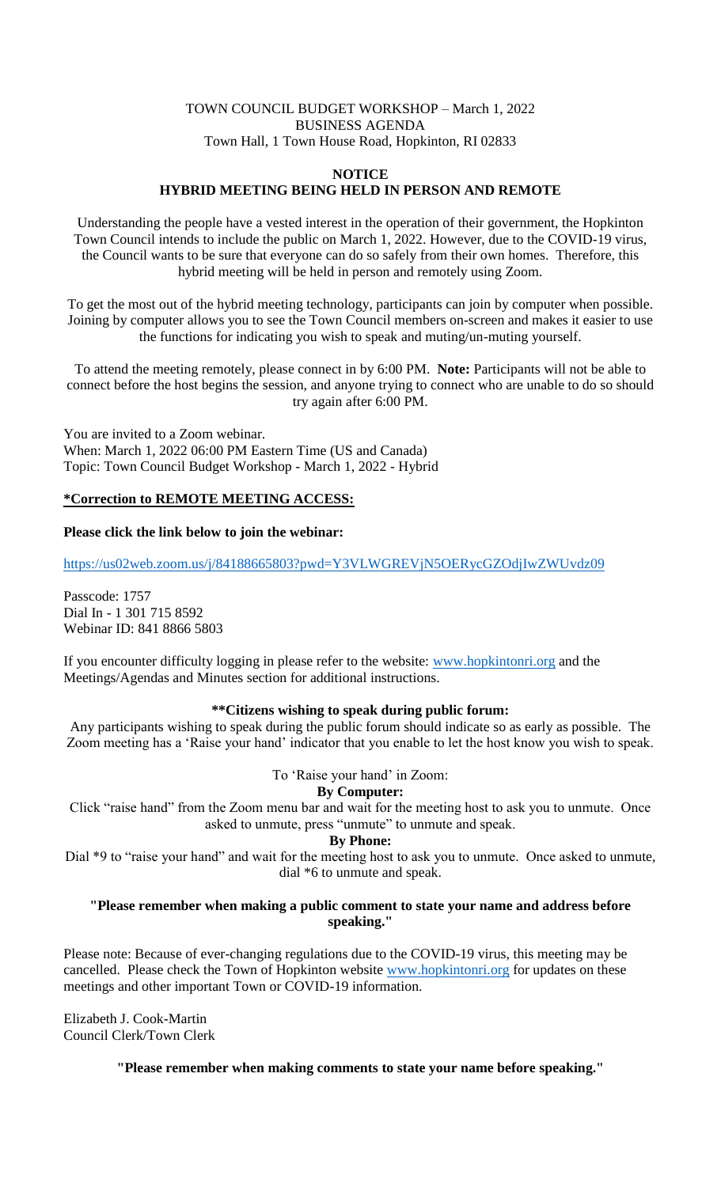## TOWN COUNCIL BUDGET WORKSHOP – March 1, 2022 BUSINESS AGENDA Town Hall, 1 Town House Road, Hopkinton, RI 02833

#### **NOTICE HYBRID MEETING BEING HELD IN PERSON AND REMOTE**

Understanding the people have a vested interest in the operation of their government, the Hopkinton Town Council intends to include the public on March 1, 2022. However, due to the COVID-19 virus, the Council wants to be sure that everyone can do so safely from their own homes. Therefore, this hybrid meeting will be held in person and remotely using Zoom.

To get the most out of the hybrid meeting technology, participants can join by computer when possible. Joining by computer allows you to see the Town Council members on-screen and makes it easier to use the functions for indicating you wish to speak and muting/un-muting yourself.

To attend the meeting remotely, please connect in by 6:00 PM. **Note:** Participants will not be able to connect before the host begins the session, and anyone trying to connect who are unable to do so should try again after 6:00 PM.

You are invited to a Zoom webinar. When: March 1, 2022 06:00 PM Eastern Time (US and Canada) Topic: Town Council Budget Workshop - March 1, 2022 - Hybrid

## **\*Correction to REMOTE MEETING ACCESS:**

## **Please click the link below to join the webinar:**

<https://us02web.zoom.us/j/84188665803?pwd=Y3VLWGREVjN5OERycGZOdjIwZWUvdz09>

Passcode: 1757 Dial In - 1 301 715 8592 Webinar ID: 841 8866 5803

If you encounter difficulty logging in please refer to the website: [www.hopkintonri.org](http://www.hopkintonri.org/) and the Meetings/Agendas and Minutes section for additional instructions.

## **\*\*Citizens wishing to speak during public forum:**

Any participants wishing to speak during the public forum should indicate so as early as possible. The Zoom meeting has a 'Raise your hand' indicator that you enable to let the host know you wish to speak.

To 'Raise your hand' in Zoom:

# **By Computer:**

Click "raise hand" from the Zoom menu bar and wait for the meeting host to ask you to unmute. Once asked to unmute, press "unmute" to unmute and speak.

#### **By Phone:**

Dial \*9 to "raise your hand" and wait for the meeting host to ask you to unmute. Once asked to unmute, dial \*6 to unmute and speak.

## **"Please remember when making a public comment to state your name and address before speaking."**

Please note: Because of ever-changing regulations due to the COVID-19 virus, this meeting may be cancelled. Please check the Town of Hopkinton website [www.hopkintonri.org](http://www.hopkintonri.org/) for updates on these meetings and other important Town or COVID-19 information.

Elizabeth J. Cook-Martin Council Clerk/Town Clerk

**"Please remember when making comments to state your name before speaking."**